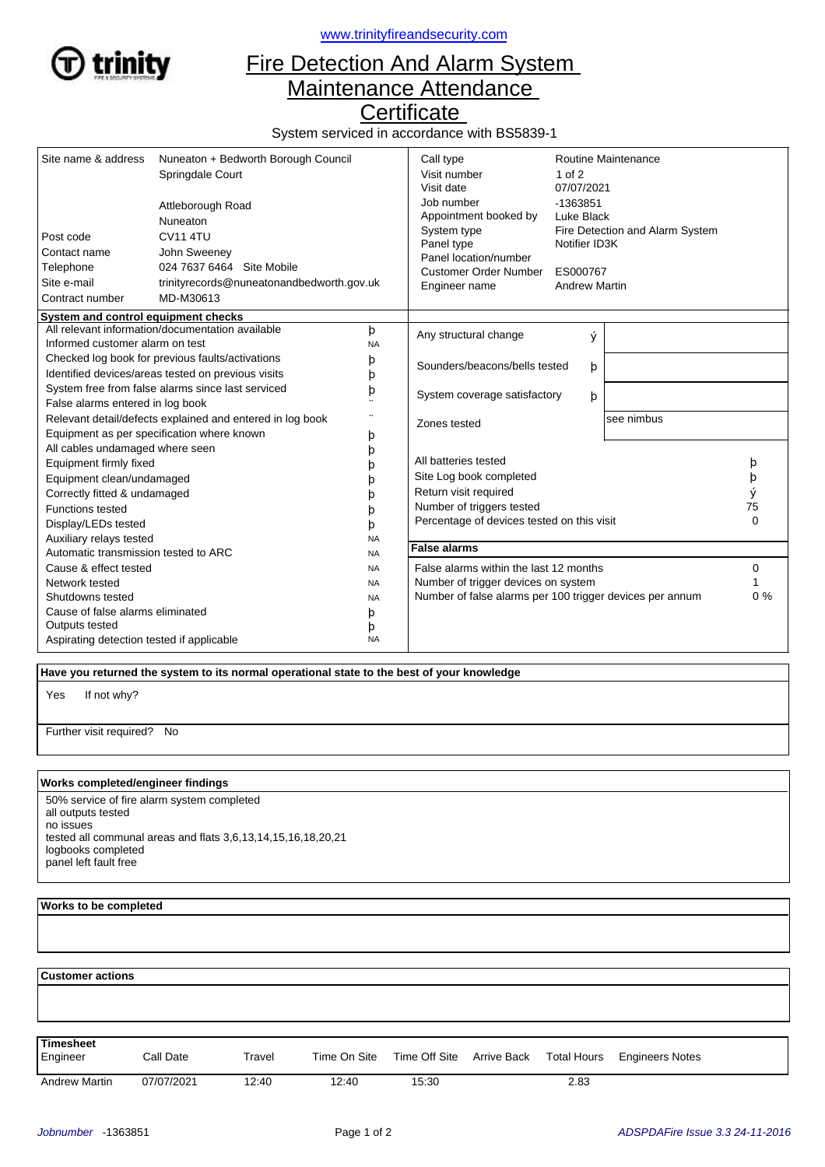

<www.trinityfireandsecurity.com>

## Fire Detection And Alarm System Maintenance Attendance

**Certificate** 

System serviced in accordance with BS5839-1

| Site name & address                                                                 | Nuneaton + Bedworth Borough Council                                                 |                       | Call type<br>Visit number                                  | Routine Maintenance<br>$1$ of $2$ |                                  |                                 |  |
|-------------------------------------------------------------------------------------|-------------------------------------------------------------------------------------|-----------------------|------------------------------------------------------------|-----------------------------------|----------------------------------|---------------------------------|--|
|                                                                                     | Springdale Court                                                                    |                       | Visit date                                                 | 07/07/2021                        |                                  |                                 |  |
|                                                                                     |                                                                                     |                       | Job number                                                 | -1363851                          |                                  |                                 |  |
| Attleborough Road<br>Nuneaton                                                       |                                                                                     |                       | Appointment booked by                                      | Luke Black                        |                                  |                                 |  |
|                                                                                     |                                                                                     |                       | System type<br>Panel type<br>Notifier ID3K                 |                                   |                                  | Fire Detection and Alarm System |  |
| Post code                                                                           | <b>CV11 4TU</b>                                                                     |                       |                                                            |                                   |                                  |                                 |  |
| Contact name<br>John Sweeney                                                        |                                                                                     | Panel location/number |                                                            |                                   |                                  |                                 |  |
| Telephone                                                                           | 024 7637 6464 Site Mobile<br>trinityrecords@nuneatonandbedworth.gov.uk<br>MD-M30613 |                       | Customer Order Number<br>Engineer name                     |                                   | ES000767<br><b>Andrew Martin</b> |                                 |  |
| Site e-mail                                                                         |                                                                                     |                       |                                                            |                                   |                                  |                                 |  |
| Contract number                                                                     |                                                                                     |                       |                                                            |                                   |                                  |                                 |  |
| System and control equipment checks                                                 |                                                                                     |                       |                                                            |                                   |                                  |                                 |  |
| All relevant information/documentation available<br>Informed customer alarm on test |                                                                                     | þ                     | Any structural change                                      | ý                                 |                                  |                                 |  |
|                                                                                     |                                                                                     | <b>NA</b>             |                                                            |                                   |                                  |                                 |  |
| Checked log book for previous faults/activations                                    |                                                                                     | þ                     | Sounders/beacons/bells tested                              | þ                                 |                                  |                                 |  |
| Identified devices/areas tested on previous visits                                  |                                                                                     | þ                     |                                                            |                                   |                                  |                                 |  |
| System free from false alarms since last serviced                                   |                                                                                     | þ                     | System coverage satisfactory                               |                                   | þ                                |                                 |  |
| False alarms entered in log book                                                    |                                                                                     |                       |                                                            |                                   |                                  |                                 |  |
| Relevant detail/defects explained and entered in log book                           |                                                                                     | $\ddotsc$             | Zones tested                                               |                                   |                                  | see nimbus                      |  |
| Equipment as per specification where known                                          |                                                                                     | þ                     |                                                            |                                   |                                  |                                 |  |
| All cables undamaged where seen                                                     |                                                                                     | þ                     |                                                            |                                   |                                  |                                 |  |
| Equipment firmly fixed                                                              |                                                                                     |                       | All batteries tested                                       |                                   |                                  | þ                               |  |
| Equipment clean/undamaged                                                           |                                                                                     | b                     | Site Log book completed                                    |                                   |                                  | þ                               |  |
| Correctly fitted & undamaged                                                        |                                                                                     | b                     | Return visit required                                      |                                   |                                  | ý                               |  |
| <b>Functions tested</b>                                                             |                                                                                     | b                     | Number of triggers tested                                  |                                   |                                  | 75                              |  |
| Display/LEDs tested                                                                 |                                                                                     | þ                     | $\mathbf{0}$<br>Percentage of devices tested on this visit |                                   |                                  |                                 |  |
| Auxiliary relays tested                                                             |                                                                                     | <b>NA</b>             |                                                            |                                   |                                  |                                 |  |
| Automatic transmission tested to ARC                                                |                                                                                     | <b>NA</b>             | <b>False alarms</b>                                        |                                   |                                  |                                 |  |
| Cause & effect tested                                                               |                                                                                     | <b>NA</b>             | False alarms within the last 12 months                     |                                   |                                  | 0                               |  |
| Network tested                                                                      |                                                                                     | <b>NA</b>             | Number of trigger devices on system                        |                                   |                                  |                                 |  |
| Shutdowns tested                                                                    |                                                                                     | <b>NA</b>             | Number of false alarms per 100 trigger devices per annum   |                                   |                                  | $0\%$                           |  |
| Cause of false alarms eliminated<br>þ                                               |                                                                                     |                       |                                                            |                                   |                                  |                                 |  |
| Outputs tested<br>þ                                                                 |                                                                                     |                       |                                                            |                                   |                                  |                                 |  |
| <b>NA</b><br>Aspirating detection tested if applicable                              |                                                                                     |                       |                                                            |                                   |                                  |                                 |  |

 **Have you returned the system to its normal operational state to the best of your knowledge**

If not why? Yes

Further visit required? No

## **Works completed/engineer findings**

50% service of fire alarm system completed all outputs tested no issues tested all communal areas and flats 3,6,13,14,15,16,18,20,21 logbooks completed panel left fault free

## **Works to be completed**

  **Customer actions** Engineer Call Date Travel Time On Site Time Off Site Arrive Back Total Hours Engineers Notes **Timesheet** Arrive Back Andrew Martin 07/07/2021 12:40 12:40 15:30 2.83